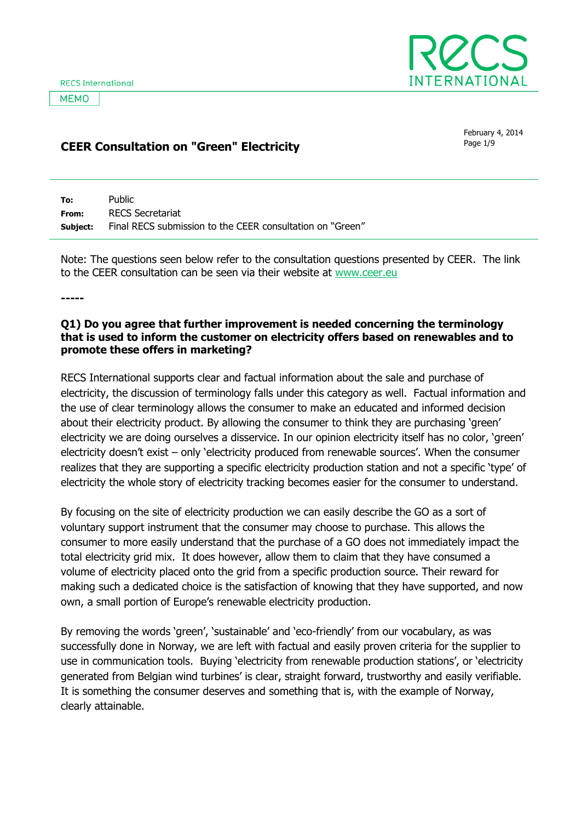**MEMO** 



# **CEER Consultation on "Green" Electricity CEER Consultation on "Green" Electricity**

February 4, 2014

| To:   | Public                                                                    |
|-------|---------------------------------------------------------------------------|
| From: | RECS Secretariat                                                          |
|       | <b>Subject:</b> Final RECS submission to the CEER consultation on "Green" |

Note: The questions seen below refer to the consultation questions presented by CEER. The link to the CEER consultation can be seen via their website at [www.ceer.eu](http://www.ceer.eu/)

**-----**

#### **Q1) Do you agree that further improvement is needed concerning the terminology that is used to inform the customer on electricity offers based on renewables and to promote these offers in marketing?**

RECS International supports clear and factual information about the sale and purchase of electricity, the discussion of terminology falls under this category as well. Factual information and the use of clear terminology allows the consumer to make an educated and informed decision about their electricity product. By allowing the consumer to think they are purchasing 'green' electricity we are doing ourselves a disservice. In our opinion electricity itself has no color, 'green' electricity doesn't exist – only 'electricity produced from renewable sources'. When the consumer realizes that they are supporting a specific electricity production station and not a specific 'type' of electricity the whole story of electricity tracking becomes easier for the consumer to understand.

By focusing on the site of electricity production we can easily describe the GO as a sort of voluntary support instrument that the consumer may choose to purchase. This allows the consumer to more easily understand that the purchase of a GO does not immediately impact the total electricity grid mix. It does however, allow them to claim that they have consumed a volume of electricity placed onto the grid from a specific production source. Their reward for making such a dedicated choice is the satisfaction of knowing that they have supported, and now own, a small portion of Europe's renewable electricity production.

By removing the words 'green', 'sustainable' and 'eco-friendly' from our vocabulary, as was successfully done in Norway, we are left with factual and easily proven criteria for the supplier to use in communication tools. Buying 'electricity from renewable production stations', or 'electricity generated from Belgian wind turbines' is clear, straight forward, trustworthy and easily verifiable. It is something the consumer deserves and something that is, with the example of Norway, clearly attainable.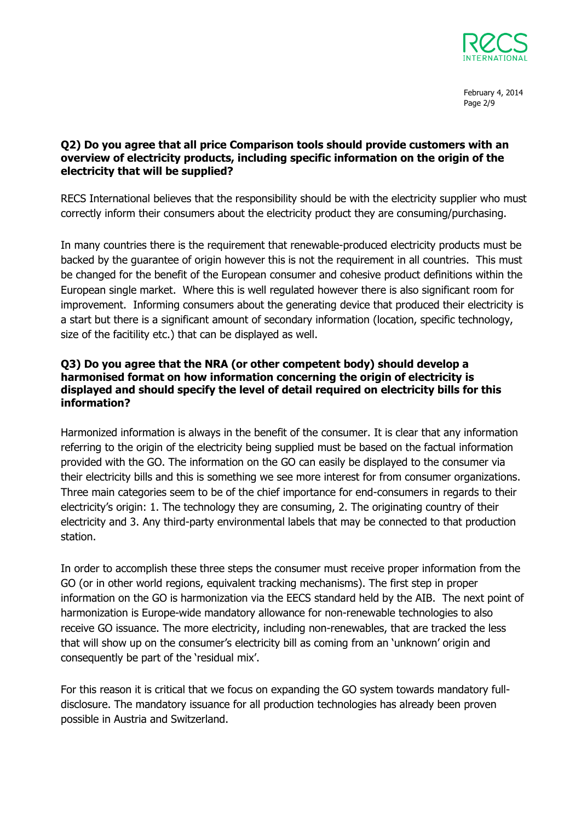

February 4, 2014 Page 2/9

### **Q2) Do you agree that all price Comparison tools should provide customers with an overview of electricity products, including specific information on the origin of the electricity that will be supplied?**

RECS International believes that the responsibility should be with the electricity supplier who must correctly inform their consumers about the electricity product they are consuming/purchasing.

In many countries there is the requirement that renewable-produced electricity products must be backed by the guarantee of origin however this is not the requirement in all countries. This must be changed for the benefit of the European consumer and cohesive product definitions within the European single market. Where this is well regulated however there is also significant room for improvement. Informing consumers about the generating device that produced their electricity is a start but there is a significant amount of secondary information (location, specific technology, size of the facitility etc.) that can be displayed as well.

### **Q3) Do you agree that the NRA (or other competent body) should develop a harmonised format on how information concerning the origin of electricity is displayed and should specify the level of detail required on electricity bills for this information?**

Harmonized information is always in the benefit of the consumer. It is clear that any information referring to the origin of the electricity being supplied must be based on the factual information provided with the GO. The information on the GO can easily be displayed to the consumer via their electricity bills and this is something we see more interest for from consumer organizations. Three main categories seem to be of the chief importance for end-consumers in regards to their electricity's origin: 1. The technology they are consuming, 2. The originating country of their electricity and 3. Any third-party environmental labels that may be connected to that production station.

In order to accomplish these three steps the consumer must receive proper information from the GO (or in other world regions, equivalent tracking mechanisms). The first step in proper information on the GO is harmonization via the EECS standard held by the AIB. The next point of harmonization is Europe-wide mandatory allowance for non-renewable technologies to also receive GO issuance. The more electricity, including non-renewables, that are tracked the less that will show up on the consumer's electricity bill as coming from an 'unknown' origin and consequently be part of the 'residual mix'.

For this reason it is critical that we focus on expanding the GO system towards mandatory fulldisclosure. The mandatory issuance for all production technologies has already been proven possible in Austria and Switzerland.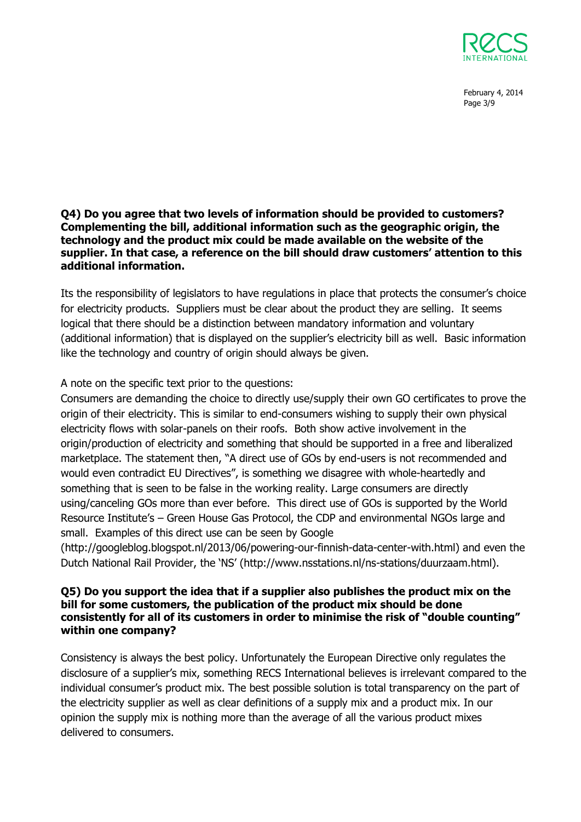

February 4, 2014 Page 3/9

#### **Q4) Do you agree that two levels of information should be provided to customers? Complementing the bill, additional information such as the geographic origin, the technology and the product mix could be made available on the website of the supplier. In that case, a reference on the bill should draw customers' attention to this additional information.**

Its the responsibility of legislators to have regulations in place that protects the consumer's choice for electricity products. Suppliers must be clear about the product they are selling. It seems logical that there should be a distinction between mandatory information and voluntary (additional information) that is displayed on the supplier's electricity bill as well. Basic information like the technology and country of origin should always be given.

# A note on the specific text prior to the questions:

Consumers are demanding the choice to directly use/supply their own GO certificates to prove the origin of their electricity. This is similar to end-consumers wishing to supply their own physical electricity flows with solar-panels on their roofs. Both show active involvement in the origin/production of electricity and something that should be supported in a free and liberalized marketplace. The statement then, "A direct use of GOs by end-users is not recommended and would even contradict EU Directives", is something we disagree with whole-heartedly and something that is seen to be false in the working reality. Large consumers are directly using/canceling GOs more than ever before. This direct use of GOs is supported by the World Resource Institute's – Green House Gas Protocol, the CDP and environmental NGOs large and small. Examples of this direct use can be seen by Google

(http://googleblog.blogspot.nl/2013/06/powering-our-finnish-data-center-with.html) and even the Dutch National Rail Provider, the 'NS' (http://www.nsstations.nl/ns-stations/duurzaam.html).

### **Q5) Do you support the idea that if a supplier also publishes the product mix on the bill for some customers, the publication of the product mix should be done consistently for all of its customers in order to minimise the risk of "double counting" within one company?**

Consistency is always the best policy. Unfortunately the European Directive only regulates the disclosure of a supplier's mix, something RECS International believes is irrelevant compared to the individual consumer's product mix. The best possible solution is total transparency on the part of the electricity supplier as well as clear definitions of a supply mix and a product mix. In our opinion the supply mix is nothing more than the average of all the various product mixes delivered to consumers.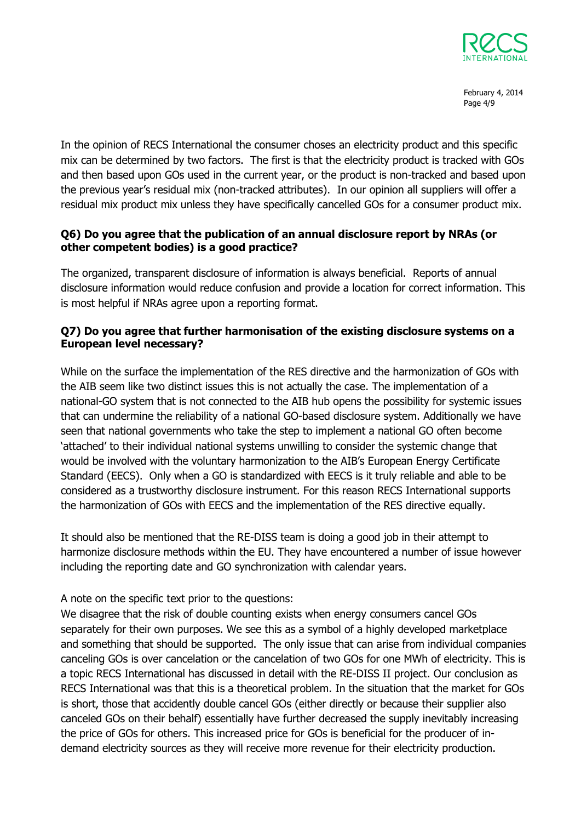

February 4, 2014 Page 4/9

In the opinion of RECS International the consumer choses an electricity product and this specific mix can be determined by two factors. The first is that the electricity product is tracked with GOs and then based upon GOs used in the current year, or the product is non-tracked and based upon the previous year's residual mix (non-tracked attributes). In our opinion all suppliers will offer a residual mix product mix unless they have specifically cancelled GOs for a consumer product mix.

## **Q6) Do you agree that the publication of an annual disclosure report by NRAs (or other competent bodies) is a good practice?**

The organized, transparent disclosure of information is always beneficial. Reports of annual disclosure information would reduce confusion and provide a location for correct information. This is most helpful if NRAs agree upon a reporting format.

## **Q7) Do you agree that further harmonisation of the existing disclosure systems on a European level necessary?**

While on the surface the implementation of the RES directive and the harmonization of GOs with the AIB seem like two distinct issues this is not actually the case. The implementation of a national-GO system that is not connected to the AIB hub opens the possibility for systemic issues that can undermine the reliability of a national GO-based disclosure system. Additionally we have seen that national governments who take the step to implement a national GO often become 'attached' to their individual national systems unwilling to consider the systemic change that would be involved with the voluntary harmonization to the AIB's European Energy Certificate Standard (EECS). Only when a GO is standardized with EECS is it truly reliable and able to be considered as a trustworthy disclosure instrument. For this reason RECS International supports the harmonization of GOs with EECS and the implementation of the RES directive equally.

It should also be mentioned that the RE-DISS team is doing a good job in their attempt to harmonize disclosure methods within the EU. They have encountered a number of issue however including the reporting date and GO synchronization with calendar years.

A note on the specific text prior to the questions:

We disagree that the risk of double counting exists when energy consumers cancel GOs separately for their own purposes. We see this as a symbol of a highly developed marketplace and something that should be supported. The only issue that can arise from individual companies canceling GOs is over cancelation or the cancelation of two GOs for one MWh of electricity. This is a topic RECS International has discussed in detail with the RE-DISS II project. Our conclusion as RECS International was that this is a theoretical problem. In the situation that the market for GOs is short, those that accidently double cancel GOs (either directly or because their supplier also canceled GOs on their behalf) essentially have further decreased the supply inevitably increasing the price of GOs for others. This increased price for GOs is beneficial for the producer of indemand electricity sources as they will receive more revenue for their electricity production.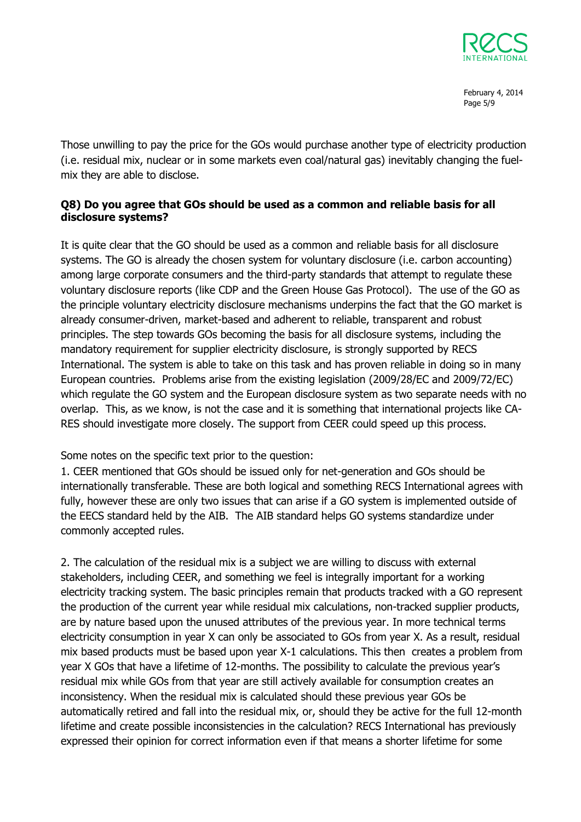

February 4, 2014 Page 5/9

Those unwilling to pay the price for the GOs would purchase another type of electricity production (i.e. residual mix, nuclear or in some markets even coal/natural gas) inevitably changing the fuelmix they are able to disclose.

## **Q8) Do you agree that GOs should be used as a common and reliable basis for all disclosure systems?**

It is quite clear that the GO should be used as a common and reliable basis for all disclosure systems. The GO is already the chosen system for voluntary disclosure (i.e. carbon accounting) among large corporate consumers and the third-party standards that attempt to regulate these voluntary disclosure reports (like CDP and the Green House Gas Protocol). The use of the GO as the principle voluntary electricity disclosure mechanisms underpins the fact that the GO market is already consumer-driven, market-based and adherent to reliable, transparent and robust principles. The step towards GOs becoming the basis for all disclosure systems, including the mandatory requirement for supplier electricity disclosure, is strongly supported by RECS International. The system is able to take on this task and has proven reliable in doing so in many European countries. Problems arise from the existing legislation (2009/28/EC and 2009/72/EC) which regulate the GO system and the European disclosure system as two separate needs with no overlap. This, as we know, is not the case and it is something that international projects like CA-RES should investigate more closely. The support from CEER could speed up this process.

Some notes on the specific text prior to the question:

1. CEER mentioned that GOs should be issued only for net-generation and GOs should be internationally transferable. These are both logical and something RECS International agrees with fully, however these are only two issues that can arise if a GO system is implemented outside of the EECS standard held by the AIB. The AIB standard helps GO systems standardize under commonly accepted rules.

2. The calculation of the residual mix is a subject we are willing to discuss with external stakeholders, including CEER, and something we feel is integrally important for a working electricity tracking system. The basic principles remain that products tracked with a GO represent the production of the current year while residual mix calculations, non-tracked supplier products, are by nature based upon the unused attributes of the previous year. In more technical terms electricity consumption in year X can only be associated to GOs from year X. As a result, residual mix based products must be based upon year X-1 calculations. This then creates a problem from year X GOs that have a lifetime of 12-months. The possibility to calculate the previous year's residual mix while GOs from that year are still actively available for consumption creates an inconsistency. When the residual mix is calculated should these previous year GOs be automatically retired and fall into the residual mix, or, should they be active for the full 12-month lifetime and create possible inconsistencies in the calculation? RECS International has previously expressed their opinion for correct information even if that means a shorter lifetime for some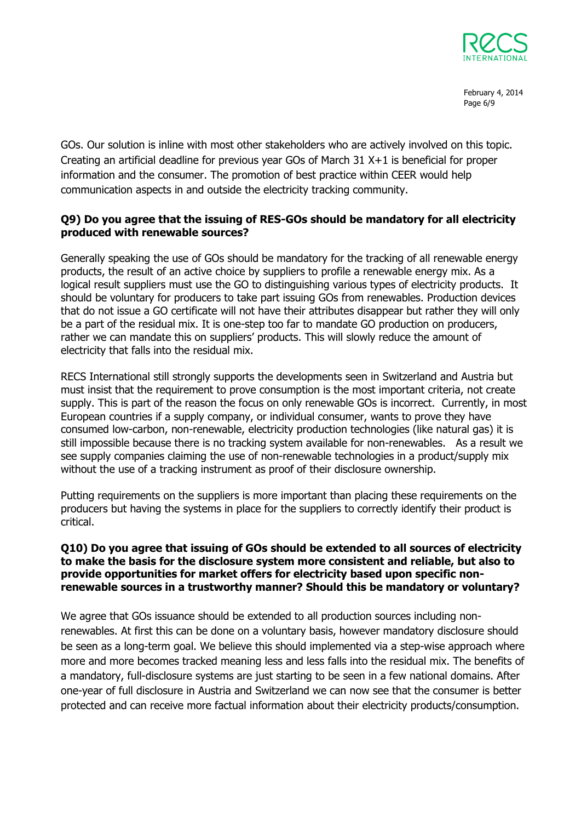

February 4, 2014 Page 6/9

GOs. Our solution is inline with most other stakeholders who are actively involved on this topic. Creating an artificial deadline for previous year GOs of March 31 X+1 is beneficial for proper information and the consumer. The promotion of best practice within CEER would help communication aspects in and outside the electricity tracking community.

### **Q9) Do you agree that the issuing of RES-GOs should be mandatory for all electricity produced with renewable sources?**

Generally speaking the use of GOs should be mandatory for the tracking of all renewable energy products, the result of an active choice by suppliers to profile a renewable energy mix. As a logical result suppliers must use the GO to distinguishing various types of electricity products. It should be voluntary for producers to take part issuing GOs from renewables. Production devices that do not issue a GO certificate will not have their attributes disappear but rather they will only be a part of the residual mix. It is one-step too far to mandate GO production on producers, rather we can mandate this on suppliers' products. This will slowly reduce the amount of electricity that falls into the residual mix.

RECS International still strongly supports the developments seen in Switzerland and Austria but must insist that the requirement to prove consumption is the most important criteria, not create supply. This is part of the reason the focus on only renewable GOs is incorrect. Currently, in most European countries if a supply company, or individual consumer, wants to prove they have consumed low-carbon, non-renewable, electricity production technologies (like natural gas) it is still impossible because there is no tracking system available for non-renewables. As a result we see supply companies claiming the use of non-renewable technologies in a product/supply mix without the use of a tracking instrument as proof of their disclosure ownership.

Putting requirements on the suppliers is more important than placing these requirements on the producers but having the systems in place for the suppliers to correctly identify their product is critical.

### **Q10) Do you agree that issuing of GOs should be extended to all sources of electricity to make the basis for the disclosure system more consistent and reliable, but also to provide opportunities for market offers for electricity based upon specific nonrenewable sources in a trustworthy manner? Should this be mandatory or voluntary?**

We agree that GOs issuance should be extended to all production sources including nonrenewables. At first this can be done on a voluntary basis, however mandatory disclosure should be seen as a long-term goal. We believe this should implemented via a step-wise approach where more and more becomes tracked meaning less and less falls into the residual mix. The benefits of a mandatory, full-disclosure systems are just starting to be seen in a few national domains. After one-year of full disclosure in Austria and Switzerland we can now see that the consumer is better protected and can receive more factual information about their electricity products/consumption.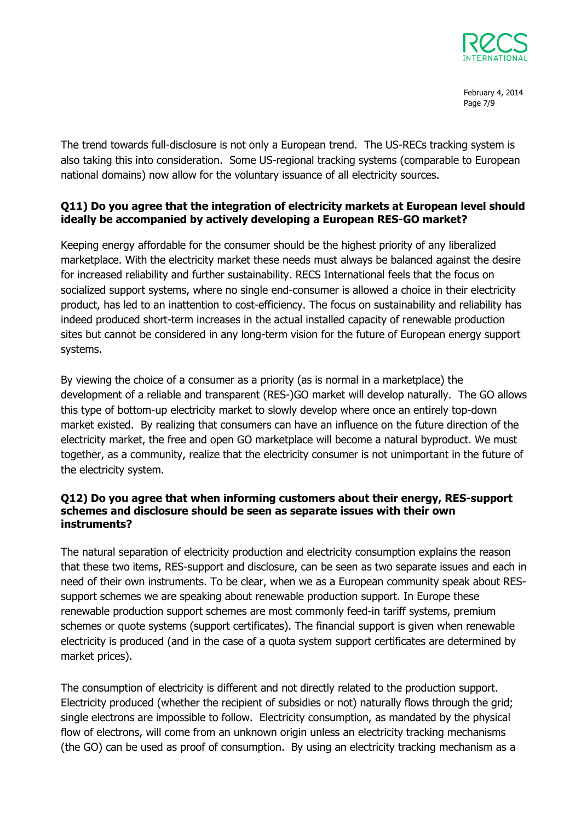

February 4, 2014 Page 7/9

The trend towards full-disclosure is not only a European trend. The US-RECs tracking system is also taking this into consideration. Some US-regional tracking systems (comparable to European national domains) now allow for the voluntary issuance of all electricity sources.

## **Q11) Do you agree that the integration of electricity markets at European level should ideally be accompanied by actively developing a European RES-GO market?**

Keeping energy affordable for the consumer should be the highest priority of any liberalized marketplace. With the electricity market these needs must always be balanced against the desire for increased reliability and further sustainability. RECS International feels that the focus on socialized support systems, where no single end-consumer is allowed a choice in their electricity product, has led to an inattention to cost-efficiency. The focus on sustainability and reliability has indeed produced short-term increases in the actual installed capacity of renewable production sites but cannot be considered in any long-term vision for the future of European energy support systems.

By viewing the choice of a consumer as a priority (as is normal in a marketplace) the development of a reliable and transparent (RES-)GO market will develop naturally. The GO allows this type of bottom-up electricity market to slowly develop where once an entirely top-down market existed. By realizing that consumers can have an influence on the future direction of the electricity market, the free and open GO marketplace will become a natural byproduct. We must together, as a community, realize that the electricity consumer is not unimportant in the future of the electricity system.

### **Q12) Do you agree that when informing customers about their energy, RES-support schemes and disclosure should be seen as separate issues with their own instruments?**

The natural separation of electricity production and electricity consumption explains the reason that these two items, RES-support and disclosure, can be seen as two separate issues and each in need of their own instruments. To be clear, when we as a European community speak about RESsupport schemes we are speaking about renewable production support. In Europe these renewable production support schemes are most commonly feed-in tariff systems, premium schemes or quote systems (support certificates). The financial support is given when renewable electricity is produced (and in the case of a quota system support certificates are determined by market prices).

The consumption of electricity is different and not directly related to the production support. Electricity produced (whether the recipient of subsidies or not) naturally flows through the grid; single electrons are impossible to follow. Electricity consumption, as mandated by the physical flow of electrons, will come from an unknown origin unless an electricity tracking mechanisms (the GO) can be used as proof of consumption. By using an electricity tracking mechanism as a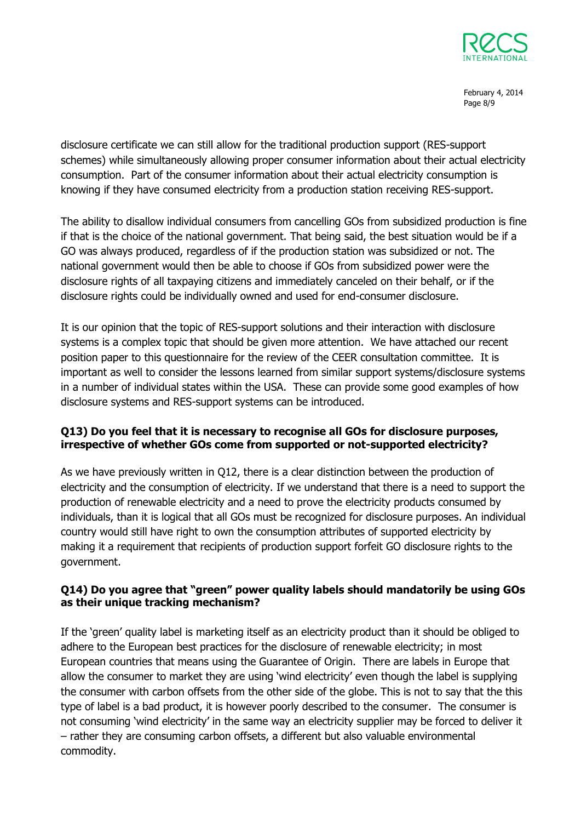

February 4, 2014 Page 8/9

disclosure certificate we can still allow for the traditional production support (RES-support schemes) while simultaneously allowing proper consumer information about their actual electricity consumption. Part of the consumer information about their actual electricity consumption is knowing if they have consumed electricity from a production station receiving RES-support.

The ability to disallow individual consumers from cancelling GOs from subsidized production is fine if that is the choice of the national government. That being said, the best situation would be if a GO was always produced, regardless of if the production station was subsidized or not. The national government would then be able to choose if GOs from subsidized power were the disclosure rights of all taxpaying citizens and immediately canceled on their behalf, or if the disclosure rights could be individually owned and used for end-consumer disclosure.

It is our opinion that the topic of RES-support solutions and their interaction with disclosure systems is a complex topic that should be given more attention. We have attached our recent position paper to this questionnaire for the review of the CEER consultation committee. It is important as well to consider the lessons learned from similar support systems/disclosure systems in a number of individual states within the USA. These can provide some good examples of how disclosure systems and RES-support systems can be introduced.

### **Q13) Do you feel that it is necessary to recognise all GOs for disclosure purposes, irrespective of whether GOs come from supported or not-supported electricity?**

As we have previously written in Q12, there is a clear distinction between the production of electricity and the consumption of electricity. If we understand that there is a need to support the production of renewable electricity and a need to prove the electricity products consumed by individuals, than it is logical that all GOs must be recognized for disclosure purposes. An individual country would still have right to own the consumption attributes of supported electricity by making it a requirement that recipients of production support forfeit GO disclosure rights to the government.

# **Q14) Do you agree that "green" power quality labels should mandatorily be using GOs as their unique tracking mechanism?**

If the 'green' quality label is marketing itself as an electricity product than it should be obliged to adhere to the European best practices for the disclosure of renewable electricity; in most European countries that means using the Guarantee of Origin. There are labels in Europe that allow the consumer to market they are using 'wind electricity' even though the label is supplying the consumer with carbon offsets from the other side of the globe. This is not to say that the this type of label is a bad product, it is however poorly described to the consumer. The consumer is not consuming 'wind electricity' in the same way an electricity supplier may be forced to deliver it – rather they are consuming carbon offsets, a different but also valuable environmental commodity.